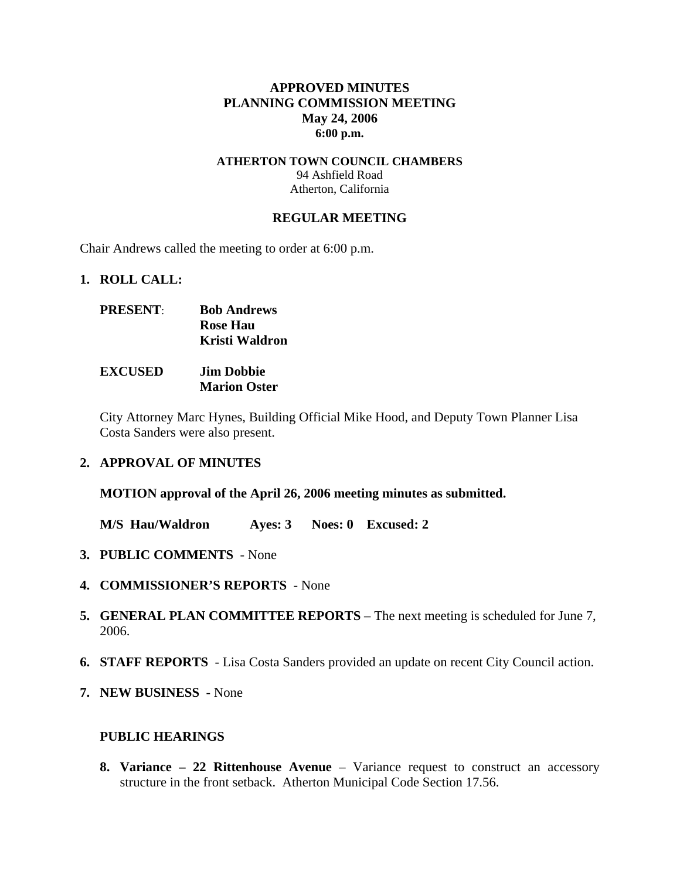### **APPROVED MINUTES PLANNING COMMISSION MEETING May 24, 2006 6:00 p.m.**

### **ATHERTON TOWN COUNCIL CHAMBERS**  94 Ashfield Road Atherton, California

### **REGULAR MEETING**

Chair Andrews called the meeting to order at 6:00 p.m.

#### **1. ROLL CALL:**

| <b>PRESENT:</b> | <b>Bob Andrews</b><br><b>Rose Hau</b><br>Kristi Waldron |
|-----------------|---------------------------------------------------------|
| <b>EXCUSED</b>  | <b>Jim Dobbie</b>                                       |

**Marion Oster** 

City Attorney Marc Hynes, Building Official Mike Hood, and Deputy Town Planner Lisa Costa Sanders were also present.

### **2. APPROVAL OF MINUTES**

**MOTION approval of the April 26, 2006 meeting minutes as submitted.** 

**M/S Hau/Waldron Ayes: 3 Noes: 0 Excused: 2** 

- **3. PUBLIC COMMENTS** None
- **4. COMMISSIONER'S REPORTS**  None
- **5. GENERAL PLAN COMMITTEE REPORTS** The next meeting is scheduled for June 7, 2006.
- **6. STAFF REPORTS**  Lisa Costa Sanders provided an update on recent City Council action.
- **7. NEW BUSINESS**  None

### **PUBLIC HEARINGS**

**8. Variance – 22 Rittenhouse Avenue** – Variance request to construct an accessory structure in the front setback. Atherton Municipal Code Section 17.56.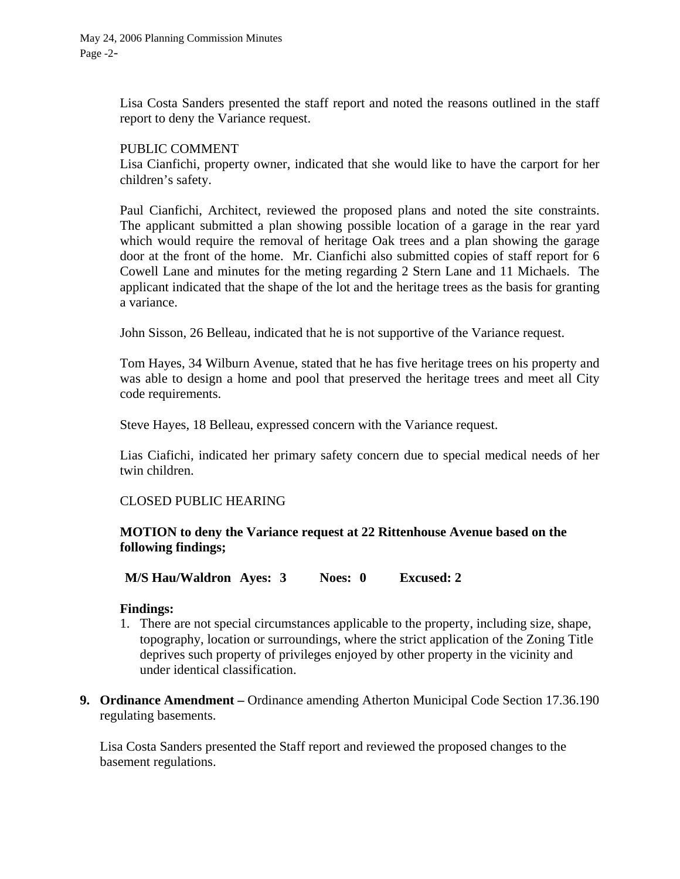Lisa Costa Sanders presented the staff report and noted the reasons outlined in the staff report to deny the Variance request.

### PUBLIC COMMENT

Lisa Cianfichi, property owner, indicated that she would like to have the carport for her children's safety.

Paul Cianfichi, Architect, reviewed the proposed plans and noted the site constraints. The applicant submitted a plan showing possible location of a garage in the rear yard which would require the removal of heritage Oak trees and a plan showing the garage door at the front of the home. Mr. Cianfichi also submitted copies of staff report for 6 Cowell Lane and minutes for the meting regarding 2 Stern Lane and 11 Michaels. The applicant indicated that the shape of the lot and the heritage trees as the basis for granting a variance.

John Sisson, 26 Belleau, indicated that he is not supportive of the Variance request.

Tom Hayes, 34 Wilburn Avenue, stated that he has five heritage trees on his property and was able to design a home and pool that preserved the heritage trees and meet all City code requirements.

Steve Hayes, 18 Belleau, expressed concern with the Variance request.

Lias Ciafichi, indicated her primary safety concern due to special medical needs of her twin children.

## CLOSED PUBLIC HEARING

**MOTION to deny the Variance request at 22 Rittenhouse Avenue based on the following findings;** 

 **M/S Hau/Waldron Ayes: 3 Noes: 0 Excused: 2** 

### **Findings:**

- 1. There are not special circumstances applicable to the property, including size, shape, topography, location or surroundings, where the strict application of the Zoning Title deprives such property of privileges enjoyed by other property in the vicinity and under identical classification.
- **9. Ordinance Amendment** Ordinance amending Atherton Municipal Code Section 17.36.190 regulating basements.

Lisa Costa Sanders presented the Staff report and reviewed the proposed changes to the basement regulations.